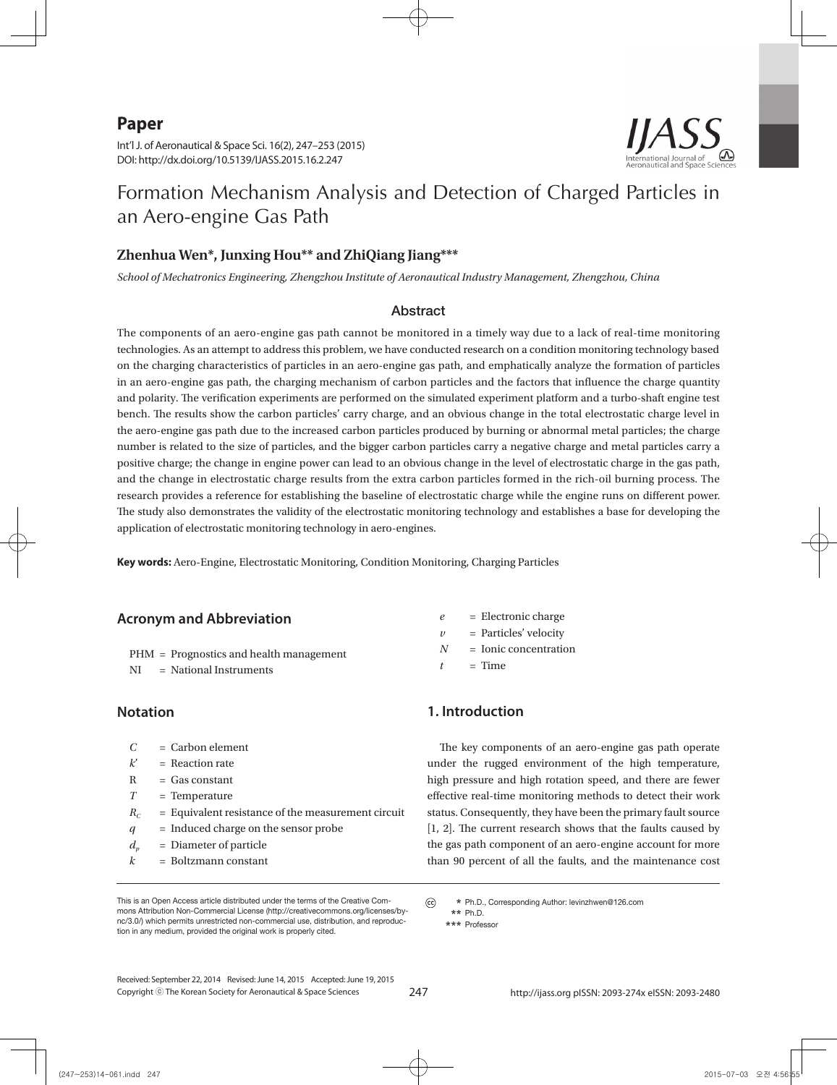**Paper**



Int'l J. of Aeronautical & Space Sci. 16(2), 247–253 (2015) DOI: http://dx.doi.org/10.5139/IJASS.2015.16.2.247

# Formation Mechanism Analysis and Detection of Charged Particles in an Aero-engine Gas Path

#### **Zhenhua Wen\*, Junxing Hou\*\* and ZhiQiang Jiang\*\*\***

*School of Mechatronics Engineering, Zhengzhou Institute of Aeronautical Industry Management, Zhengzhou, China*

#### Abstract

The components of an aero-engine gas path cannot be monitored in a timely way due to a lack of real-time monitoring technologies. As an attempt to address this problem, we have conducted research on a condition monitoring technology based on the charging characteristics of particles in an aero-engine gas path, and emphatically analyze the formation of particles in an aero-engine gas path, the charging mechanism of carbon particles and the factors that influence the charge quantity and polarity. The verification experiments are performed on the simulated experiment platform and a turbo-shaft engine test bench. The results show the carbon particles' carry charge, and an obvious change in the total electrostatic charge level in the aero-engine gas path due to the increased carbon particles produced by burning or abnormal metal particles; the charge number is related to the size of particles, and the bigger carbon particles carry a negative charge and metal particles carry a positive charge; the change in engine power can lead to an obvious change in the level of electrostatic charge in the gas path, and the change in electrostatic charge results from the extra carbon particles formed in the rich-oil burning process. The research provides a reference for establishing the baseline of electrostatic charge while the engine runs on different power. The study also demonstrates the validity of the electrostatic monitoring technology and establishes a base for developing the application of electrostatic monitoring technology in aero-engines.

**Key words:** Aero-Engine, Electrostatic Monitoring, Condition Monitoring, Charging Particles

#### **Acronym and Abbreviation**

- PHM = Prognostics and health management
- NI = National Instruments

#### **Notation**

- *C* = Carbon element
- $k'$  = Reaction rate
- $R = Gas constant$
- *T* = Temperature
- $R_C$  = Equivalent resistance of the measurement circuit
- *q* = Induced charge on the sensor probe
- $d_p$  = Diameter of particle
- *k* = Boltzmann constant

This is an Open Access article distributed under the terms of the Creative Commons Attribution Non-Commercial License (http://creativecommons.org/licenses/bync/3.0/) which permits unrestricted non-commercial use, distribution, and reproduction in any medium, provided the original work is properly cited.

*e* = Electronic charge  $\nu$  = Particles' velocity *N* = Ionic concentration  $t = Time$ 

#### **1. Introduction**

The key components of an aero-engine gas path operate under the rugged environment of the high temperature, high pressure and high rotation speed, and there are fewer effective real-time monitoring methods to detect their work status. Consequently, they have been the primary fault source [1, 2]. The current research shows that the faults caused by the gas path component of an aero-engine account for more than 90 percent of all the faults, and the maintenance cost

Copyright ⓒ The Korean Society for Aeronautical & Space Sciences Received: September 22, 2014 Revised: June 14, 2015 Accepted: June 19, 2015

247 http://ijass.org pISSN: 2093-274x eISSN: 2093-2480

 $\odot$  **\*** Ph.D., Corresponding Author: levinzhwen@126.com  **\*\*** Ph.D.

 **<sup>\*\*\*</sup>** Professor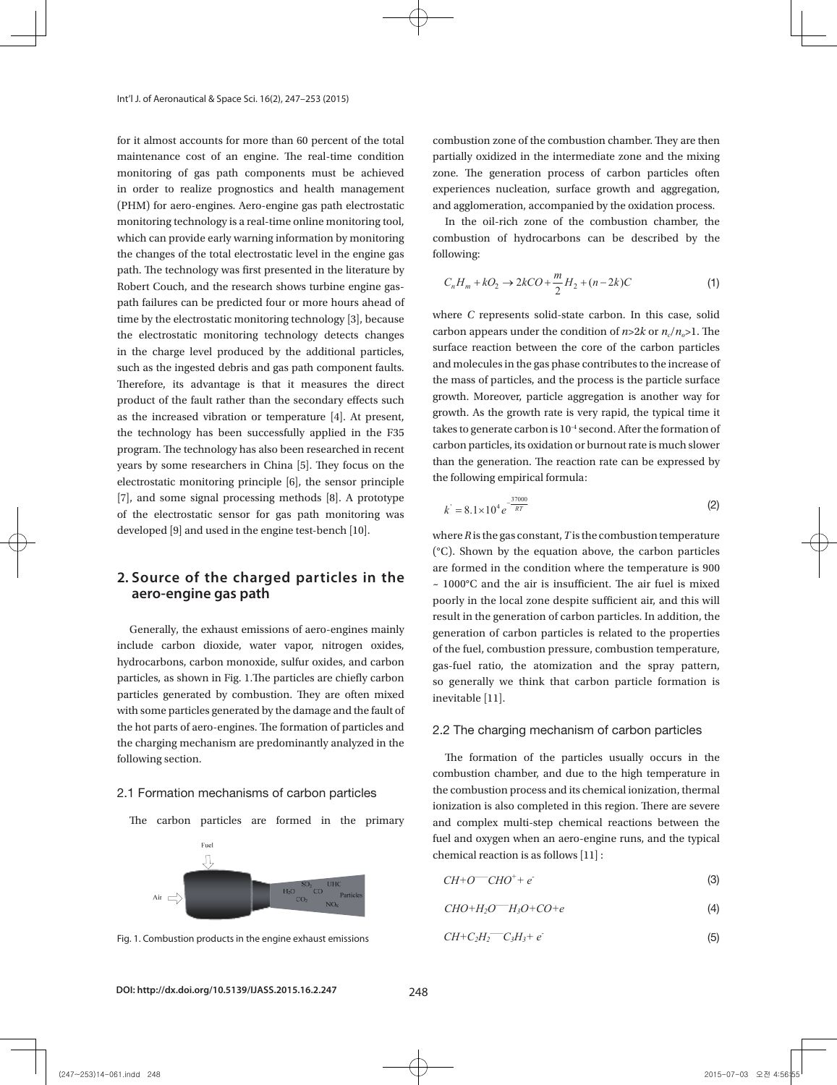for it almost accounts for more than 60 percent of the total maintenance cost of an engine. The real-time condition monitoring of gas path components must be achieved in order to realize prognostics and health management experient (PHM) for aero-engines. Aero-engine gas path electrostatic monitoring technology is a real-time online monitoring tool, which can provide early warning information by monitoring the changes of the total electrostatic level in the engine gas following: path. The technology was first presented in the literature by Robert Couch, and the research shows turbine engine gaspath failures can be predicted four or more hours ahead of time by the electrostatic monitoring technology [3], because the electrostatic monitoring technology detects changes in the charge level produced by the additional particles, such as the ingested debris and gas path component faults. Therefore, its advantage is that it measures the direct product of the fault rather than the secondary effects such as the increased vibration or temperature [4]. At present, the technology has been successfully applied in the F35 program. The technology has also been researched in recent years by some researchers in China [5]. They focus on the the limit the generators of the rule of the high temperature,  $\frac{d}{dt}$ electrostatic monitoring principle [6], the sensor principle the following [7], and some signal processing methods  $[8]$ . A prototype by the gas path monitoring was  $\kappa = 8.1 \times 10^{-10}$ developed [9] and used in the engine test-bench [10].  $where \, R is \, the$ *Fax particles reaction between* the surface reaction between the gas particles and molecules and molecules to the gas phase contributes to gas phase contributes to gas phase contributes to gas phase contributes to gas pha *N* Ionic concentration

# **aero-engine gas path the literature by Robert Countries** and the research shows turbine engine gas-path

result in the exhaust emissions of aero-engines mainly<br>Generally, the exhaust emissions of aero-engines mainly include carbon dioxide, water vapor, nitrogen oxides, **1.2 The charging mechanism of carbon particles**  hydrocarbons, carbon monoxide, sulfur oxides, and carbon  $\frac{1}{\gamma}$ gas-luer ratio, the atomization and the spray pattern,<br>particles, as shown in Fig. 1. The particles are chiefly carbon<br>so generally we think that carbon particle formation is particles generated by combustion. They are often mixed  $\frac{1}{2}$  inevitable [11]. with some particles generated by the damage and the fault of  $\frac{1}{2}$ . the hot parts of aero-engines. The formation of particles and the charging mechanism are predominantly analyzed in the following costion following section. fuel rating can the fuel of  $\alpha$ ingested debris and gas path component faults. Therefore, its advantage is that it measures the direct product of the fault parameters, as enormously, the equipments are embedded in the sensor principle principle principle some signals  $\frac{1}{2}$ paractes generated by compassion. They are electromated inevitable [1] the engine test-bench [10]. following section.

#### 2.1 Formation mechanisms of carbon particles the combustion.

The carbon particles are formed in the primary



combustion zone of the combustion chamber. They are then ion partially oxidized in the intermediate zone and the mixing zone. The generation process of carbon particles often experiences nucleation, surface growth and aggregation, engine gas path electrostatic and agglomeration, accompanied by the oxidation process.

 $\bigwedge$ 

real-time online monitoring tool, The intermediate in the oil-rich zone of the combustion chamber, the rning information by monitoring and aggregation of hydrocarbons can be described by the following:

$$
C_n H_m + kO_2 \to 2kCO + \frac{m}{2} H_2 + (n - 2k)C
$$
 (1)

our or more nours anead or<br>ring technology [3], because where *C* represents solid-state carbon. In this case, solid carbon appears under the condition of  $n > 2k$  or  $n_c/n_c > 1$ . The surface reaction between the core of the carbon particles and molecules in the gas phase contributes to the increase of the mass of particles, and the process is the particle surface growth. Moreover, particle aggregation is another way for *n* and rather than the secondary chocks such the carbon particles and molecules and molecules and molecules to an *growth*. As the growth rate is very rapid, the typical time it  $\sigma$  has been successfully annlied in the F35 takes to generate carbon is 10<sup>-4</sup> second. After the formation of echnology has also been researched in recent carbon particles, its oxidation or burnout rate is much slower researchers in China [5]. They focus on the than the generation. The reaction rate can be expressed by the following empirical formula:

$$
k' = 8.1 \times 10^4 e^{-\frac{37000}{RT}}
$$
 (2)

2. Source of the charged particles in the  $\frac{10000C}{2.10000C}$  and the air is insufficient. The air fuel is mixed ised in the engine test-bench [10]. where R is the gas constant, T is the combustion temperature  $({}^{\circ}C)$ . Shown by the equation above, the carbon particles of the charged particles in the  $\frac{1}{2}$  are formed in the condition where the temperature is 900 or the charged particles in the  $\sim 1000^{\circ}$ C and the air is insufficient. The air fuel is mixed **gine gas path** poorly in the local zone despite sufficient air, and this will result in the generation of carbon particles. In addition, the rations of aero-engines mainly from the generation of carbon particles is related to the properties generation of carbon particles is related to the properties<br>of the fuel, combustion pressure, combustion temperature, sulfur oxides, and carbon gas-fuel ratio, the atomization and the spray pattern, he particles are chiefly carbon so generally we think that carbon particle formation is inevitable [11]. apor, nitrogen oxides, of the fuel, combustion pressure, combustion temperature, e, sultur oxides, and carbon gas-fuel ratio, the atomization and the spray pattern, particles are chiefly carbon so generally we think that carbon particle formation is<br>tion. They are often mixed  $t_{\rm{m}}$  is the mass of particles, and the particle surface growth. Moreover, particle aggregation is the particle aggregation is  $\leftarrow$ monitoring of gas path components must be achieved in order to realize program  $(9G)$  for realize program  $(9G)$ aero-engines. Aero-engine gas path electrostatic monitoring technology is a real-time online monitoring technology is a real-time online monitoring tool, which can real-time online monitoring tool, which can real-time onl  $\frac{1}{2}$  by predicted four or more hours and the electrostatic monotoning technology  $\frac{1}{2}$ 

# The formation of particles and 2.2 The charging mechanism of carbon particles

The formation of the particles usually occurs in the arbon particles the combustion process and its chemical ionization, thermal re formed in the primary and complex multi-step chemical reactions between the  $\alpha$  chemical reaction is as follows [11] : **1.2 The combustion of the particles details, occurs in the combustion chamber, and due to the high temperature in** Formation particles in the particles usually interested usually of the particles usually of the high temperature in the region. There are severe fuel and oxygen when an aero-engine runs, and the typical ionization is also completed in this region. There are severe formed in the primary and complex multi-step chemical reactions between the *+ e*- (3)  $h_{\text{c}}$  computation particles, and carbon particles are chiefly carbon particles are chiefly carbon particles are chiefly carbon particles are chiefly carbon particles are chiefly carbon particles are chiefly carbon par  $t_{\rm coll}$  and the formation of particles and the chargin mechanism are predominant in the charging mechanism are predominantly and the charging mechanism are predominantly and the charging mechanism are predominantly analy

$$
CH + O^{-}CHO^{+} + e^{-}
$$
 (3)

$$
CHO + H_2O - H_3O + CO + e \tag{4}
$$

Fig. 1. Combustion products in the engine exhaust emissions 
$$
CH + C_2H_2-C_3H_3 + e^{-}
$$
 (5)

#### DOI: http://dx.doi.org/10.5139/IJASS.2015.16.2.247 248  $\frac{1}{240}$  and a large number of electrons are presented synchronously in the flame  $\frac{1}{240}$  $p_{\text{max}}$  oxidization process of  $\frac{1}{2}$  and the mixing  $\frac{1}{2}$  and  $\frac{1}{2}$  and  $\frac{1}{2}$  and  $\frac{1}{2}$  and  $\frac{1}{2}$  and  $\frac{1}{2}$  and  $\frac{1}{2}$  and  $\frac{1}{2}$  and  $\frac{1}{2}$  and  $\frac{1}{2}$  and  $\frac{1}{2}$  and  $\frac{1}{2}$

*<sup>m</sup> C H kO kCO H n k C* (1)

on the concentration of electrons and ions, but also on the size of the particles. (3) Large carry the particles carry the particles carry the particles. (3) Large carry the particles. (3) Large carry the particles carry

in the combustion chamber. In general, the carbon particles charge mainly through thermal ionization and electric

in the combustion chamber. In general, the carbon particles charge mainly through thermal ionization and electric adsorption; carbon particles can obtain a charge from the thermal emission of electrons, and can also interact with the

the reaction with the various types of ions. The positive and negative ions in the aero-engine exhaust are measured in

in the combustion chamber. In general, the carbon particles charge mainly through thermal ionization and electric adsorption; can obtain a charge from the the theoretical emission of electrons, and can also interact with the the theoretical emission of electrons, and can also interact with the theoretical emission of electrons, and c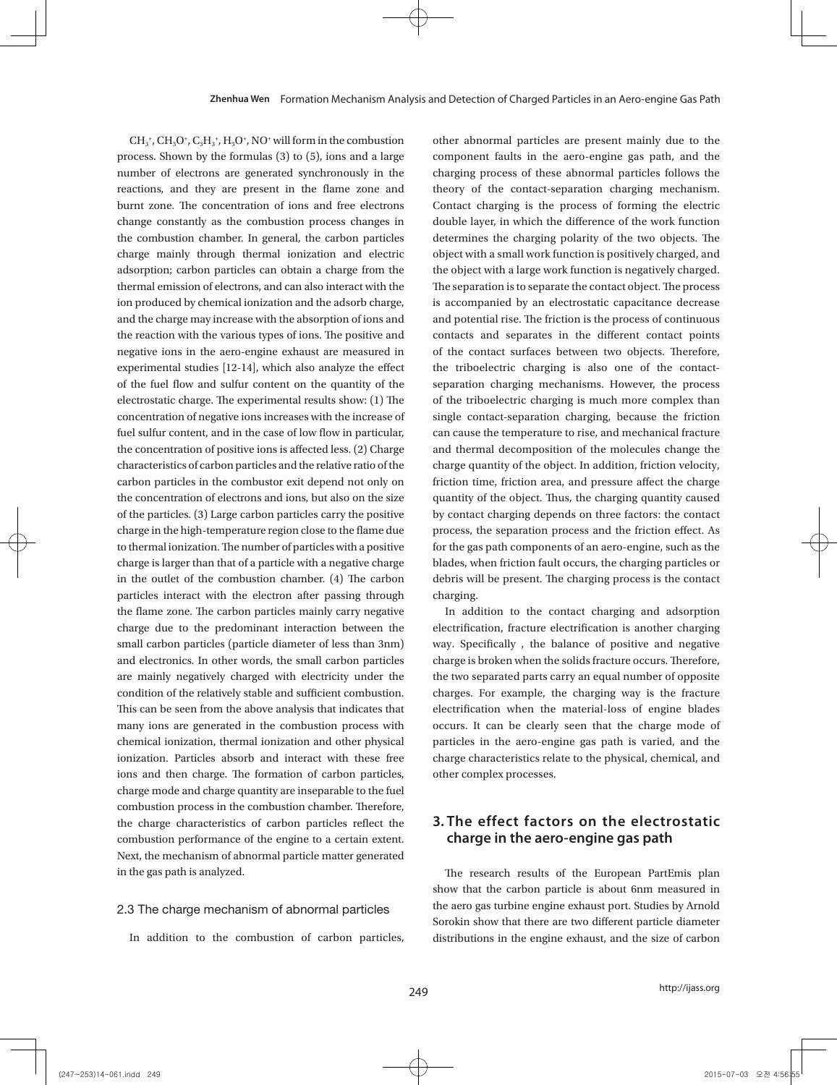$CH_3^*$ ,  $CH_3O^*$ ,  $C_3H_3^*$ ,  $H_3O^*$ , NO<sup>+</sup> will form in the combustion process. Shown by the formulas (3) to (5), ions and a large number of electrons are generated synchronously in the reactions, and they are present in the flame zone and burnt zone. The concentration of ions and free electrons change constantly as the combustion process changes in the combustion chamber. In general, the carbon particles charge mainly through thermal ionization and electric adsorption; carbon particles can obtain a charge from the thermal emission of electrons, and can also interact with the ion produced by chemical ionization and the adsorb charge, and the charge may increase with the absorption of ions and the reaction with the various types of ions. The positive and negative ions in the aero-engine exhaust are measured in experimental studies [12-14], which also analyze the effect of the fuel flow and sulfur content on the quantity of the electrostatic charge. The experimental results show: (1) The concentration of negative ions increases with the increase of fuel sulfur content, and in the case of low flow in particular, the concentration of positive ions is affected less. (2) Charge characteristics of carbon particles and the relative ratio of the carbon particles in the combustor exit depend not only on the concentration of electrons and ions, but also on the size of the particles. (3) Large carbon particles carry the positive charge in the high-temperature region close to the flame due to thermal ionization. The number of particles with a positive charge is larger than that of a particle with a negative charge in the outlet of the combustion chamber. (4) The carbon particles interact with the electron after passing through the flame zone. The carbon particles mainly carry negative charge due to the predominant interaction between the small carbon particles (particle diameter of less than 3nm) and electronics. In other words, the small carbon particles are mainly negatively charged with electricity under the condition of the relatively stable and sufficient combustion. This can be seen from the above analysis that indicates that many ions are generated in the combustion process with chemical ionization, thermal ionization and other physical ionization. Particles absorb and interact with these free ions and then charge. The formation of carbon particles, charge mode and charge quantity are inseparable to the fuel combustion process in the combustion chamber. Therefore, the charge characteristics of carbon particles reflect the combustion performance of the engine to a certain extent. Next, the mechanism of abnormal particle matter generated in the gas path is analyzed.

#### 2.3 The charge mechanism of abnormal particles

In addition to the combustion of carbon particles,

other abnormal particles are present mainly due to the component faults in the aero-engine gas path, and the charging process of these abnormal particles follows the theory of the contact-separation charging mechanism. Contact charging is the process of forming the electric double layer, in which the difference of the work function determines the charging polarity of the two objects. The object with a small work function is positively charged, and the object with a large work function is negatively charged. The separation is to separate the contact object. The process is accompanied by an electrostatic capacitance decrease and potential rise. The friction is the process of continuous contacts and separates in the different contact points of the contact surfaces between two objects. Therefore, the triboelectric charging is also one of the contactseparation charging mechanisms. However, the process of the triboelectric charging is much more complex than single contact-separation charging, because the friction can cause the temperature to rise, and mechanical fracture and thermal decomposition of the molecules change the charge quantity of the object. In addition, friction velocity, friction time, friction area, and pressure affect the charge quantity of the object. Thus, the charging quantity caused by contact charging depends on three factors: the contact process, the separation process and the friction effect. As for the gas path components of an aero-engine, such as the blades, when friction fault occurs, the charging particles or debris will be present. The charging process is the contact charging.

In addition to the contact charging and adsorption electrification, fracture electrification is another charging way. Specifically , the balance of positive and negative charge is broken when the solids fracture occurs. Therefore, the two separated parts carry an equal number of opposite charges. For example, the charging way is the fracture electrification when the material-loss of engine blades occurs. It can be clearly seen that the charge mode of particles in the aero-engine gas path is varied, and the charge characteristics relate to the physical, chemical, and other complex processes.

### **3. The effect factors on the electrostatic charge in the aero-engine gas path**

The research results of the European PartEmis plan show that the carbon particle is about 6nm measured in the aero gas turbine engine exhaust port. Studies by Arnold Sorokin show that there are two different particle diameter distributions in the engine exhaust, and the size of carbon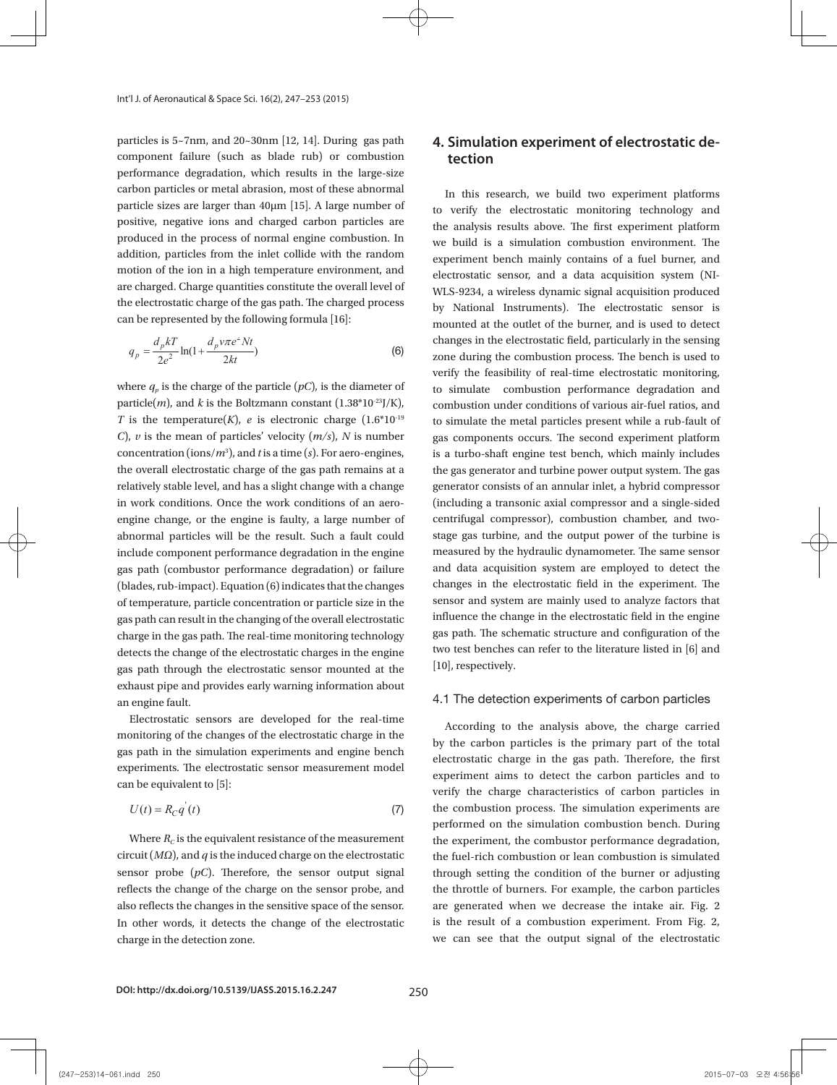are such as the blades, when friction fault occurs, the charging particles or debris will be present. The charging particles or debris will be present. The charging particles or debris will be present. The charging partic

In addition to the contact charging and adsorption electrification, fracture electrification is another charging way.

process is the contact charging.

particles is 5~7nm, and 20~30nm [12, 14]. During gas path component failure (such as blade rub) or combustion performance degradation, which results in the large-size  $\frac{a}{c}$  carbon particles or metal abrasion, most of these abnormal  $\frac{b}{c}$  in this resemble. particle sizes are larger than  $40 \mu m$  [15]. A large number of  $\mu_0$  weith the positive, negative ions and charged carbon particles are  $\frac{d}{d}$  the analysis re produced in the process of normal engine combustion. In  $\frac{1}{2}$  we huild is a addition, particles from the inlet collide with the random  $\epsilon$  experiment be motion of the ion in a high temperature environment, and electrostatic server are charged. Charge quantities constitute the overall level of  $_{\rm WLS-9234.}$  a  $_{\rm A}$ the electrostatic charge of the gas path. The charged process  $\mathbf{v}_y$  National can be represented by the following formula [16]: can be represented by the following formula [16]:

$$
q_p = \frac{d_p kT}{2e^2} \ln(1 + \frac{d_p v \pi e^2 Nt}{2kt})
$$
 (6)

where  $q_p$  is the charge of the particle  $(pC)$ , is the diameter of the simulate particle(*m*), and *k* is the Boltzmann constant  $(1.38*10^{23})/K$ , combustion ur T is the temperature(K), e is electronic charge  $(1.6*10<sup>-19</sup>$  to simulate the *C*), *v* is the mean of particles' velocity (*m/s*), *N* is number concentration (ions/*m*<sup>3</sup> ), and *t* is a time (*s*). For aero-engines, the overall electrostatic charge of the gas path remains at a relatively stable level, and has a slight change with a change in work conditions. Once the work conditions of an aeroengine change, or the engine is faulty, a large number of abnormal particles will be the result. Such a fault could include component performance degradation in the engine gas path (combustor performance degradation) or failure (blades, rub-impact). Equation (6) indicates that the changes of temperature, particle concentration or particle size in the gas path can result in the changing of the overall electrostatic charge in the gas path. The real-time monitoring technology detects the change of the electrostatic charges in the engine gas path through the electrostatic sensor mounted at the exhaust pipe and provides early warning information about  $\epsilon$ an engine fault.

Electrostatic sensors are developed for the real-time monitoring of the changes of the electrostatic charge in the gas path in the simulation experiments and engine bench experiments. The electrostatic sensor measurement model can be equivalent to [5]:

$$
U(t) = R_C q'(t) \tag{7}
$$

Where *RC* is the equivalent resistance of the measurement circuit (*M*Ω), and *q* is the induced charge on the circuit (*MΩ*), and *q* is the induced charge on the electrostatic sensor probe (*pC*). Therefore, the sensor output signal reflects the change of the charge on the sensor probe, and Where  $R_c$  is the equivalent resistance of the measurement also reflects the changes in the sensitive space of the sensor. In other words, it detects the change of the electrostatic charge in the detection zone.

### **4. Simulation experiment of electrostatic detection**

In this research, we build two experiment platforms to verify the electrostatic monitoring technology and the analysis results above. The first experiment platform we build is a simulation combustion environment. The experiment bench mainly contains of a fuel burner, and electrostatic sensor, and a data acquisition system (NI-WLS-9234, a wireless dynamic signal acquisition produced by National Instruments). The electrostatic sensor is mounted at the outlet of the burner, and is used to detect changes in the electrostatic field, particularly in the sensing zone during the combustion process. The bench is used to verify the feasibility of real-time electrostatic monitoring, to simulate combustion performance degradation and combustion under conditions of various air-fuel ratios, and to simulate the metal particles present while a rub-fault of gas components occurs. The second experiment platform is a turbo-shaft engine test bench, which mainly includes the gas generator and turbine power output system. The gas generator consists of an annular inlet, a hybrid compressor (including a transonic axial compressor and a single-sided centrifugal compressor), combustion chamber, and twostage gas turbine, and the output power of the turbine is measured by the hydraulic dynamometer. The same sensor and data acquisition system are employed to detect the changes in the electrostatic field in the experiment. The sensor and system are mainly used to analyze factors that influence the change in the electrostatic field in the engine gas path. The schematic structure and configuration of the two test benches can refer to the literature listed in [6] and [10], respectively.

#### 4.1 The detection experiments of carbon particles

According to the analysis above, the charge carried by the carbon particles is the primary part of the total electrostatic charge in the gas path. Therefore, the first experiment aims to detect the carbon particles and to verify the charge characteristics of carbon particles in the combustion process. The simulation experiments are performed on the simulation combustion bench. During the experiment, the combustor performance degradation, the fuel-rich combustion or lean combustion is simulated through setting the condition of the burner or adjusting the throttle of burners. For example, the carbon particles are generated when we decrease the intake air. Fig. 2 is the result of a combustion experiment. From Fig. 2, we can see that the output signal of the electrostatic

combustion process. The bench is used to verify the feasibility of real-time electrostatic monitoring, to simulate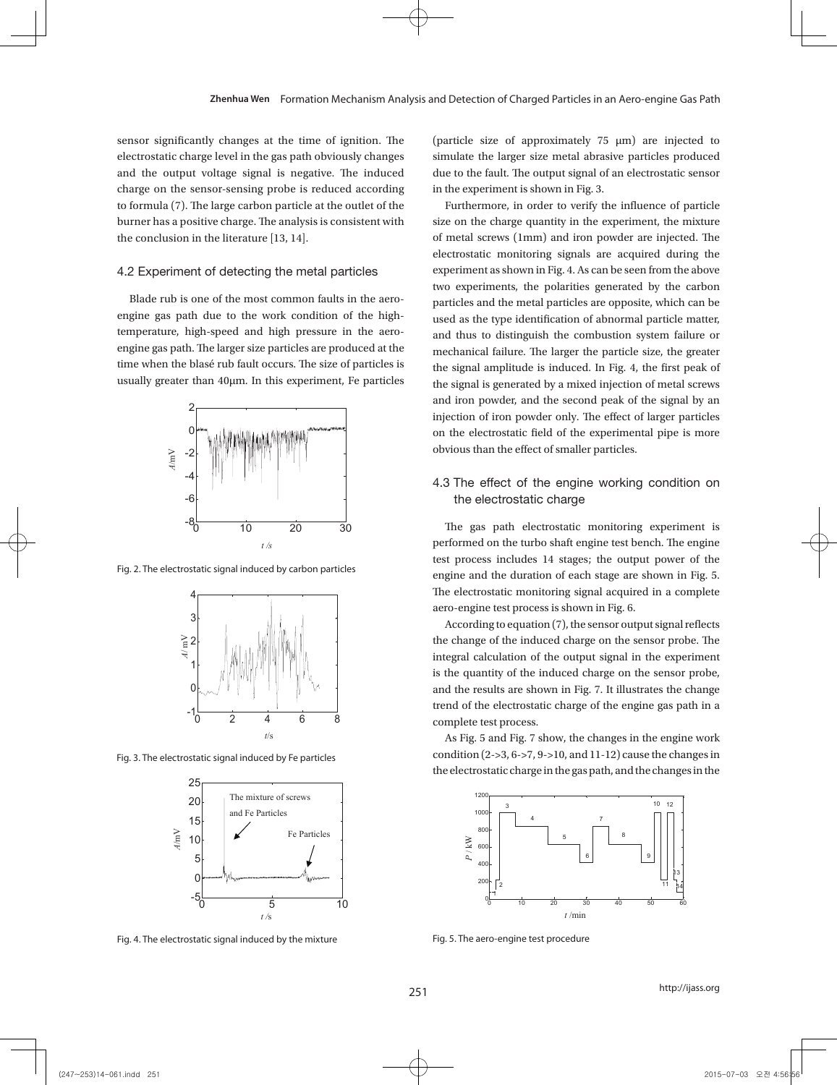sensor significantly changes at the time of ignition. The electrostatic charge level in the gas path obviously changes and the output voltage signal is negative. The induced due to the fault. The output s charge on the sensor-sensing probe is reduced according 2 to formula (7). The large carbon particle at the outlet of the 0 burner has a positive charge. The analysis is consistent with  $\mathcal{L}$ buttler has a positive charge. The analysis the conclusion in the literature [13, 14].

#### 4.2 Experiment of detecting the metal particles

Blade rub is one of the most common faults in the aero-particles a engine gas path due to the work condition of the hightemperature, high-speed and high pressure in the aeroengine gas path. The larger size particles are produced at the time when the blasé rub fault occurs. The size of particles is usually greater than 40 $\mu$ m. In this experiment, Fe particles the



test process include<br>Fig. 2. The electrostatic signal induced by carbon particles





process includes 14 stages; the output power of the engine and the duration of each stage are shown in Fig. 5. The

Fig. 4. The electrostatic signal induced by the mixture Fig. 4. The electrostatic signal induced by the mixture

electrostatic monitoring signal acquired in a complete aero-engine test process is shown in Fig. 6.

(particle size of approximately 75 μm) are injected to simulate the larger size metal abrasive particles produced due to the fault. The output signal of an electrostatic sensor in the experiment is shown in Fig. 3.

Furthermore, in order to verify the influence of particle size on the charge quantity in the experiment, the mixture of metal screws (1mm) and iron powder are injected. The electrostatic monitoring signals are acquired during the experiment as shown in Fig. 4. As can be seen from the above two experiments, the polarities generated by the carbon particles and the metal particles are opposite, which can be used as the type identification of abnormal particle matter, lugh pressure in the aero-<br>and thus to distinguish the combustion system failure or mechanical failure. The larger the particle size, the greater the signal amplitude is induced. In Fig. 4, the first peak of eater than 40µm. In this experiment, re particles the signal is generated by a mixed injection of metal screws high-temperature, high-speed and iron powder, and the second peak of the signal by an and high pressure in the size particles are pressure in the second peak of the signal by an time the blasé rub fault of iron powder only. The effect of larger particles is usually greater than 40 mm in the blasé rub fault of particles is usually greater than  $40\,$  $\mathbb{C}$  is a perimental pipe is more on the electrostatic field of the experimental pipe is more

 $\frac{3}{0}$  10 20 30 The gas path electrostatic monitoring experiment is  $t/s$  is induced. In Fig. 4, the first performed on the turbo shaft engine test bench. The engine includes 14 stages; the output power of the signal by an injection of the signal by an injection of the signal by an injection of the signal by an injection of the effect of larger particles on the effect of larger particl engine and the duration of each stage are shown in Fig. 5. The electrostatic monitoring signal acquired in a complete

According to equation (7), the sensor output signal reflects high-temperature, high-speed and high pressure in the aero-engine gas path. The larger size particles are produced at the and Fe Particles  $\geq 2$   $\parallel$   $\parallel$   $\parallel$   $\parallel$  $\mathcal{F} = \|\mathbf{y}\| \|\mathbf{y}\| \|\mathbf{y}\|$ is the quantity of the induced charge on the sensor probe,  $\mathbb{O}_{\mathsf{A},\mathsf{A}}$  in  $\mathsf{A}$  in  $\mathsf{B}$  in the influence of particle size on the results are shown in Fig. 7. It illustrates the change trend of the electrostatic charge of the engine gas path in a of metal screws (1mm) and iron powder are injected. The electrostatic monitoring signals are acquired during the complete test process.

As Fig. 5 and Fig. 7 show, the changes in the engine work condition (2->3, 6->7, 9->10, and 11-12) cause the changes in the electrostatic charge in the gas path, and the changes in the signal amplitude is induced. In Fig. 4, the first peak of the signal is generated by a mixed injection of metal screws and Fig.3 The electrostatic signal induced by Fe particles Fig.4 The electrostatic signal induced by the mixture Fig. 3. The electrostatic signal induced by Fe particles electrostatic field of the experimental pipe is more obvious than the effect of smaller particles.



Fig. 5 The aero-engine test procedure Fig. 5. The aero-engine test procedure

251

 $\Box$ 

http://ijass.org

0 15-07-03 오전 4:56:56 -1.5 -1.5 -2015-07-03 오전 4:56:56 -2015-07-03 오전 4:56:56 -1.5 -2015-07-03 오전 4:56:56

 $\mathbf{\nabla}$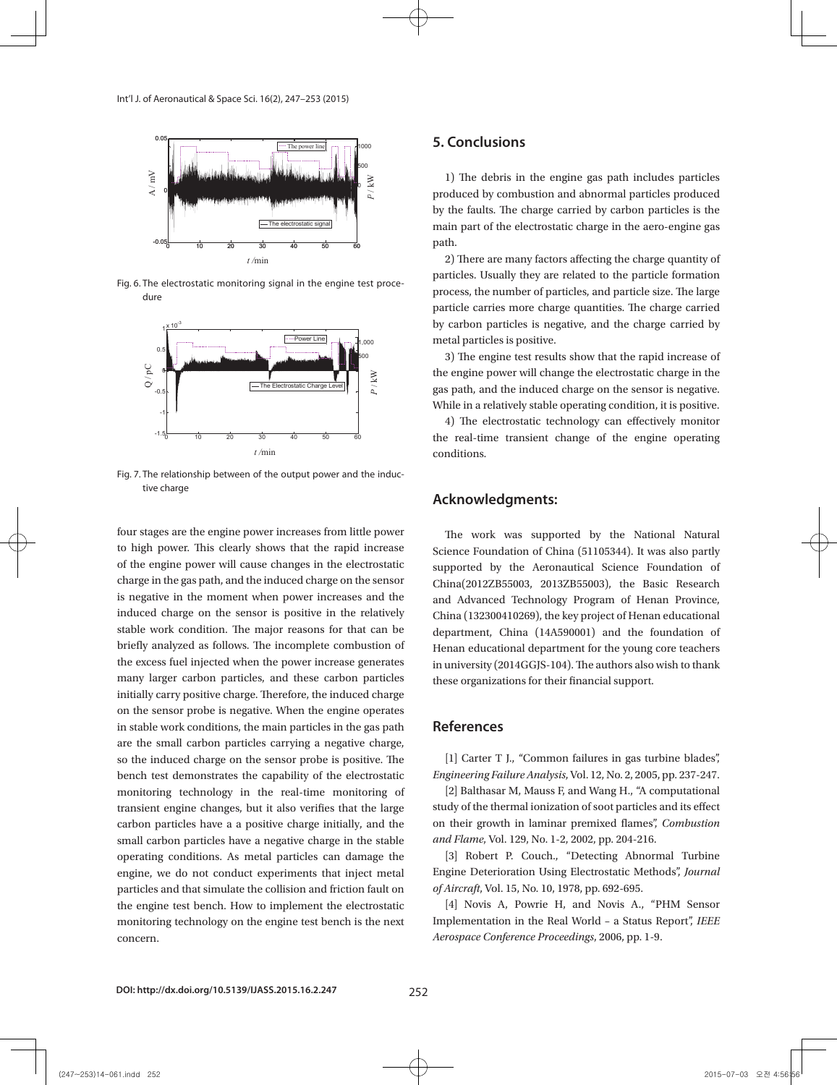

Fig. 6 The electrostatic monitoring signal in the engine Fig. 6. The electrostatic monitoring signal in the engine test proce-*t* /min dure  $\frac{1}{2}$  and  $\frac{1}{2}$ 



Fig. 7. The relationship between of the output power and the induccharge on the sensor probe is negative. When the engine operates in stable work conditions, the main particles in the gas of the gas of the gas of the gas of the gas of the gas of the gas of the gas of the gas of the gas o tive charge

According to equation (7), the sensor output signal reflects the change of the induced charge on the sensor probe. The integral calculation of the output signal in the experiment is the quantity of the induced charge on the sensor probe,

four stages are the engine power increases from little power to high power. This clearly shows that the rapid increase of the engine power will cause changes in the electrostatic charge in the gas path, and the induced charge on the sensor China(2012ZB55003, 2013) is negative in the moment when power increases and the induced charge on the sensor is positive in the relatively stable work condition. The major reasons for that can be briefly analyzed as follows. The incomplete combustion of the excess fuel injected when the power increase generates many larger carbon particles, and these carbon particles initially carry positive charge. Therefore, the induced charge on the sensor probe is negative. When the engine operates in stable work conditions, the main particles in the gas path are the small carbon particles carrying a negative charge, so the induced charge on the sensor probe is positive. The bench test demonstrates the capability of the electrostatic monitoring technology in the real-time monitoring of transient engine changes, but it also verifies that the large carbon particles have a a positive charge initially, and the small carbon particles have a negative charge in the stable operating conditions. As metal particles can damage the engine, we do not conduct experiments that inject metal particles and that simulate the collision and friction fault on the engine test bench. How to implement the electrostatic monitoring technology on the engine test bench is the next concern.

#### **5. Conclusions**

8

1) The debris in the engine gas path includes particles produced by combustion and abnormal particles produced  $\frac{1}{2}$  and  $\frac{1}{2}$  **P**  $\frac{1}{2}$  and  $\frac{1}{2}$  **P**  $\frac{1}{2}$  and  $\frac{1}{2}$  **P**  $\frac{1}{2}$  and  $\frac{1}{2}$  **P**  $\frac{1}{2}$  and  $\frac{1}{2}$  and  $\frac{1}{2}$  and  $\frac{1}{2}$  and by the faults. The charge carried by carbon particles is the main part of the electrostatic charge in the aero-engine gas path.

pain.<br>
2) There are many factors affecting the charge quantity of particles. Usually they are related to the particle formation process, the number of particles, and particle size. The large particle carries more charge quantities. The charge carried  $\frac{10^3}{10^3}$  by carbon particles is negative, and the charge carried by

the engine power will change the electrostatic charge in the  $\frac{1}{\sqrt{2}}$  and Fig. 7 and Fig. 7 and Fig. 7 and Fig. 7 and Fig. 7 and Fig. 7 and Fig. 7 shows, the engine  $\frac{1}{2}$  gas path, and the induced charge on the sensor is negative. While in a relatively stable operating condition, it is positive.

 $\frac{1}{2}$  The electrostatic technology can effectively monitor  $\frac{100}{10}$  10 20 30 40 50 60 the real-time transient change of the engine operating conditions.

## **Path are the small carbon particles carebon particles carrying a negative charge on the sensor probe is positiv**

ages are the engine power increases from little power in the work was supported by the National Natural i power. This clearly shows that the rapid increase science Foundation of China (51105344). It was also partly engine power will cause changes in the electrostatic supported by the Aeronautical Science Foundation of China(2012ZB55003, 2013ZB55003), the Basic Research and Advanced Technology Program of Henan Province, China (132300410269), the key project of Henan educational k condition. The major reasons for that can be are department, China (14A590001) and the foundation of analyzed as follows. The incomplete combustion of Henan educational department for the young core teachers in university (2014GGJS-104). The authors also wish to thank these organizations for their financial support.

#### **References**

[1] Carter T J., "Common failures in gas turbine blades", *Engineering Failure Analysis*, Vol. 12, No. 2, 2005, pp. 237-247.

[2] Balthasar M, Mauss F, and Wang H., "A computational study of the thermal ionization of soot particles and its effect on their growth in laminar premixed flames", *Combustion and Flame*, Vol. 129, No. 1-2, 2002, pp. 204-216.

[3] Robert P. Couch., "Detecting Abnormal Turbine Engine Deterioration Using Electrostatic Methods", *Journal of Aircraft*, Vol. 15, No. 10, 1978, pp. 692-695.

[4] Novis A, Powrie H, and Novis A., "PHM Sensor Implementation in the Real World – a Status Report", *IEEE Aerospace Conference Proceedings*, 2006, pp. 1-9.